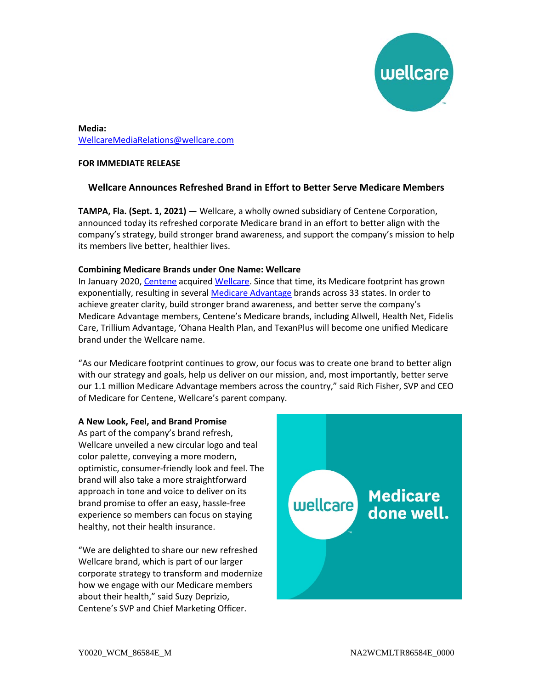

**Media:** [WellcareMediaRelations@wellcare.com](mailto:WellcareMediaRelations@wellcare.com)

### **FOR IMMEDIATE RELEASE**

# **Wellcare Announces Refreshed Brand in Effort to Better Serve Medicare Members**

**TAMPA, Fla. (Sept. 1, 2021)** — Wellcare, a wholly owned subsidiary of Centene Corporation, announced today its refreshed corporate Medicare brand in an effort to better align with the company's strategy, build stronger brand awareness, and support the company's mission to help its members live better, healthier lives.

## **Combining Medicare Brands under One Name: Wellcare**

In January 2020[, Centene](http://www.centene.com/) acquired [Wellcare.](http://www.wellcare.com/) Since that time, its Medicare footprint has grown exponentially, resulting in several [Medicare Advantage](https://investors.centene.com/news-events/press-releases/detail/21/centene-expands-medicare-advantage-offerings-for-2021) brands across 33 states. In order to achieve greater clarity, build stronger brand awareness, and better serve the company's Medicare Advantage members, Centene's Medicare brands, including Allwell, Health Net, Fidelis Care, Trillium Advantage, 'Ohana Health Plan, and TexanPlus will become one unified Medicare brand under the Wellcare name.

"As our Medicare footprint continues to grow, our focus was to create one brand to better align with our strategy and goals, help us deliver on our mission, and, most importantly, better serve our 1.1 million Medicare Advantage members across the country," said Rich Fisher, SVP and CEO of Medicare for Centene, Wellcare's parent company.

### **A New Look, Feel, and Brand Promise**

As part of the company's brand refresh, Wellcare unveiled a new circular logo and teal color palette, conveying a more modern, optimistic, consumer-friendly look and feel. The brand will also take a more straightforward approach in tone and voice to deliver on its brand promise to offer an easy, hassle-free experience so members can focus on staying healthy, not their health insurance.

"We are delighted to share our new refreshed Wellcare brand, which is part of our larger corporate strategy to transform and modernize how we engage with our Medicare members about their health," said Suzy Deprizio, Centene's SVP and Chief Marketing Officer.

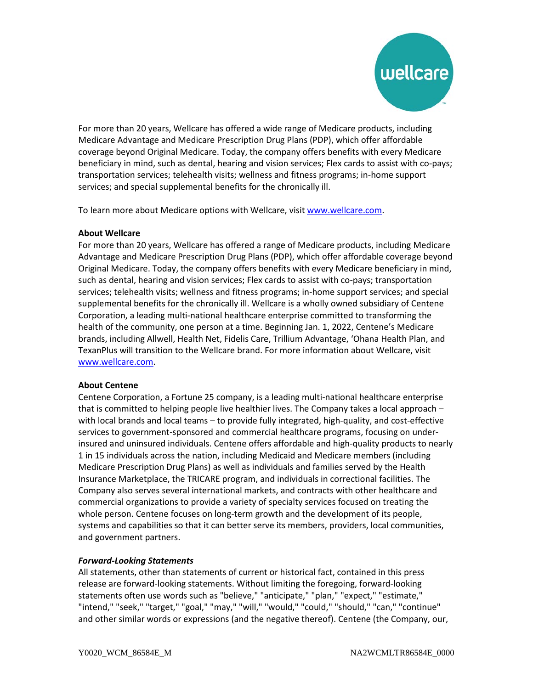

For more than 20 years, Wellcare has offered a wide range of Medicare products, including Medicare Advantage and Medicare Prescription Drug Plans (PDP), which offer affordable coverage beyond Original Medicare. Today, the company offers benefits with every Medicare beneficiary in mind, such as dental, hearing and vision services; Flex cards to assist with co-pays; transportation services; telehealth visits; wellness and fitness programs; in-home support services; and special supplemental benefits for the chronically ill.

To learn more about Medicare options with Wellcare, visit [www.wellcare.com.](http://www.wellcare.com/)

## **About Wellcare**

For more than 20 years, Wellcare has offered a range of Medicare products, including Medicare Advantage and Medicare Prescription Drug Plans (PDP), which offer affordable coverage beyond Original Medicare. Today, the company offers benefits with every Medicare beneficiary in mind, such as dental, hearing and vision services; Flex cards to assist with co-pays; transportation services; telehealth visits; wellness and fitness programs; in-home support services; and special supplemental benefits for the chronically ill. Wellcare is a wholly owned subsidiary of Centene Corporation, a leading multi-national healthcare enterprise committed to transforming the health of the community, one person at a time. Beginning Jan. 1, 2022, Centene's Medicare brands, including Allwell, Health Net, Fidelis Care, Trillium Advantage, 'Ohana Health Plan, and TexanPlus will transition to the Wellcare brand. For more information about Wellcare, visit [www.wellcare.com.](http://www.wellcare.com/)

# **About Centene**

Centene Corporation, a Fortune 25 company, is a leading multi-national healthcare enterprise that is committed to helping people live healthier lives. The Company takes a local approach – with local brands and local teams – to provide fully integrated, high-quality, and cost-effective services to government-sponsored and commercial healthcare programs, focusing on underinsured and uninsured individuals. Centene offers affordable and high-quality products to nearly 1 in 15 individuals across the nation, including Medicaid and Medicare members (including Medicare Prescription Drug Plans) as well as individuals and families served by the Health Insurance Marketplace, the TRICARE program, and individuals in correctional facilities. The Company also serves several international markets, and contracts with other healthcare and commercial organizations to provide a variety of specialty services focused on treating the whole person. Centene focuses on long-term growth and the development of its people, systems and capabilities so that it can better serve its members, providers, local communities, and government partners.

# *Forward-Looking Statements*

All statements, other than statements of current or historical fact, contained in this press release are forward-looking statements. Without limiting the foregoing, forward-looking statements often use words such as "believe," "anticipate," "plan," "expect," "estimate," "intend," "seek," "target," "goal," "may," "will," "would," "could," "should," "can," "continue" and other similar words or expressions (and the negative thereof). Centene (the Company, our,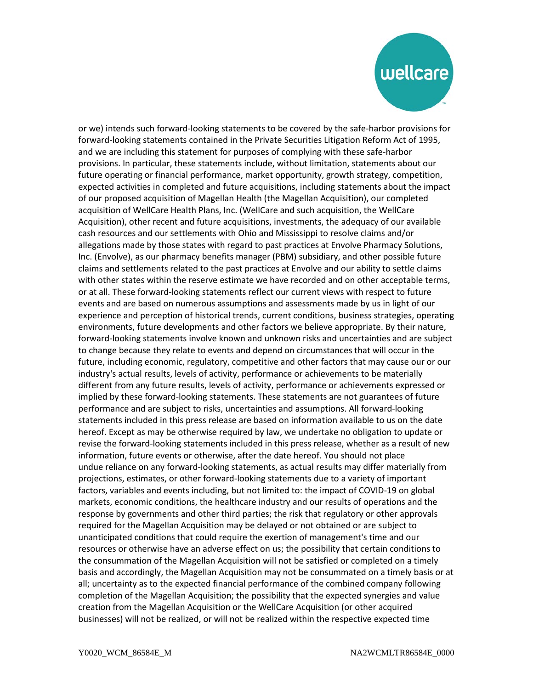

or we) intends such forward-looking statements to be covered by the safe-harbor provisions for forward-looking statements contained in the Private Securities Litigation Reform Act of 1995, and we are including this statement for purposes of complying with these safe-harbor provisions. In particular, these statements include, without limitation, statements about our future operating or financial performance, market opportunity, growth strategy, competition, expected activities in completed and future acquisitions, including statements about the impact of our proposed acquisition of Magellan Health (the Magellan Acquisition), our completed acquisition of WellCare Health Plans, Inc. (WellCare and such acquisition, the WellCare Acquisition), other recent and future acquisitions, investments, the adequacy of our available cash resources and our settlements with Ohio and Mississippi to resolve claims and/or allegations made by those states with regard to past practices at Envolve Pharmacy Solutions, Inc. (Envolve), as our pharmacy benefits manager (PBM) subsidiary, and other possible future claims and settlements related to the past practices at Envolve and our ability to settle claims with other states within the reserve estimate we have recorded and on other acceptable terms, or at all. These forward-looking statements reflect our current views with respect to future events and are based on numerous assumptions and assessments made by us in light of our experience and perception of historical trends, current conditions, business strategies, operating environments, future developments and other factors we believe appropriate. By their nature, forward-looking statements involve known and unknown risks and uncertainties and are subject to change because they relate to events and depend on circumstances that will occur in the future, including economic, regulatory, competitive and other factors that may cause our or our industry's actual results, levels of activity, performance or achievements to be materially different from any future results, levels of activity, performance or achievements expressed or implied by these forward-looking statements. These statements are not guarantees of future performance and are subject to risks, uncertainties and assumptions. All forward-looking statements included in this press release are based on information available to us on the date hereof. Except as may be otherwise required by law, we undertake no obligation to update or revise the forward-looking statements included in this press release, whether as a result of new information, future events or otherwise, after the date hereof. You should not place undue reliance on any forward-looking statements, as actual results may differ materially from projections, estimates, or other forward-looking statements due to a variety of important factors, variables and events including, but not limited to: the impact of COVID-19 on global markets, economic conditions, the healthcare industry and our results of operations and the response by governments and other third parties; the risk that regulatory or other approvals required for the Magellan Acquisition may be delayed or not obtained or are subject to unanticipated conditions that could require the exertion of management's time and our resources or otherwise have an adverse effect on us; the possibility that certain conditions to the consummation of the Magellan Acquisition will not be satisfied or completed on a timely basis and accordingly, the Magellan Acquisition may not be consummated on a timely basis or at all; uncertainty as to the expected financial performance of the combined company following completion of the Magellan Acquisition; the possibility that the expected synergies and value creation from the Magellan Acquisition or the WellCare Acquisition (or other acquired businesses) will not be realized, or will not be realized within the respective expected time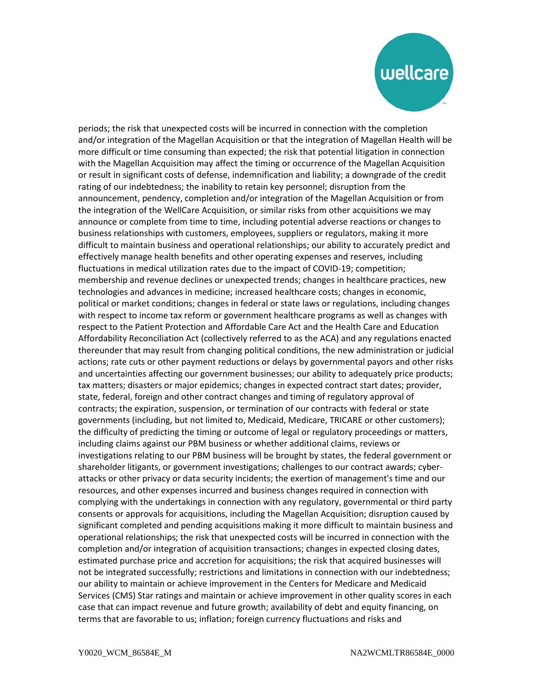

periods; the risk that unexpected costs will be incurred in connection with the completion and/or integration of the Magellan Acquisition or that the integration of Magellan Health will be more difficult or time consuming than expected; the risk that potential litigation in connection with the Magellan Acquisition may affect the timing or occurrence of the Magellan Acquisition or result in significant costs of defense, indemnification and liability; a downgrade of the credit rating of our indebtedness; the inability to retain key personnel; disruption from the announcement, pendency, completion and/or integration of the Magellan Acquisition or from the integration of the WellCare Acquisition, or similar risks from other acquisitions we may announce or complete from time to time, including potential adverse reactions or changes to business relationships with customers, employees, suppliers or regulators, making it more difficult to maintain business and operational relationships; our ability to accurately predict and effectively manage health benefits and other operating expenses and reserves, including fluctuations in medical utilization rates due to the impact of COVID-19; competition; membership and revenue declines or unexpected trends; changes in healthcare practices, new technologies and advances in medicine; increased healthcare costs; changes in economic, political or market conditions; changes in federal or state laws or regulations, including changes with respect to income tax reform or government healthcare programs as well as changes with respect to the Patient Protection and Affordable Care Act and the Health Care and Education Affordability Reconciliation Act (collectively referred to as the ACA) and any regulations enacted thereunder that may result from changing political conditions, the new administration or judicial actions; rate cuts or other payment reductions or delays by governmental payors and other risks and uncertainties affecting our government businesses; our ability to adequately price products; tax matters; disasters or major epidemics; changes in expected contract start dates; provider, state, federal, foreign and other contract changes and timing of regulatory approval of contracts; the expiration, suspension, or termination of our contracts with federal or state governments (including, but not limited to, Medicaid, Medicare, TRICARE or other customers); the difficulty of predicting the timing or outcome of legal or regulatory proceedings or matters, including claims against our PBM business or whether additional claims, reviews or investigations relating to our PBM business will be brought by states, the federal government or shareholder litigants, or government investigations; challenges to our contract awards; cyberattacks or other privacy or data security incidents; the exertion of management's time and our resources, and other expenses incurred and business changes required in connection with complying with the undertakings in connection with any regulatory, governmental or third party consents or approvals for acquisitions, including the Magellan Acquisition; disruption caused by significant completed and pending acquisitions making it more difficult to maintain business and operational relationships; the risk that unexpected costs will be incurred in connection with the completion and/or integration of acquisition transactions; changes in expected closing dates, estimated purchase price and accretion for acquisitions; the risk that acquired businesses will not be integrated successfully; restrictions and limitations in connection with our indebtedness; our ability to maintain or achieve improvement in the Centers for Medicare and Medicaid Services (CMS) Star ratings and maintain or achieve improvement in other quality scores in each case that can impact revenue and future growth; availability of debt and equity financing, on terms that are favorable to us; inflation; foreign currency fluctuations and risks and